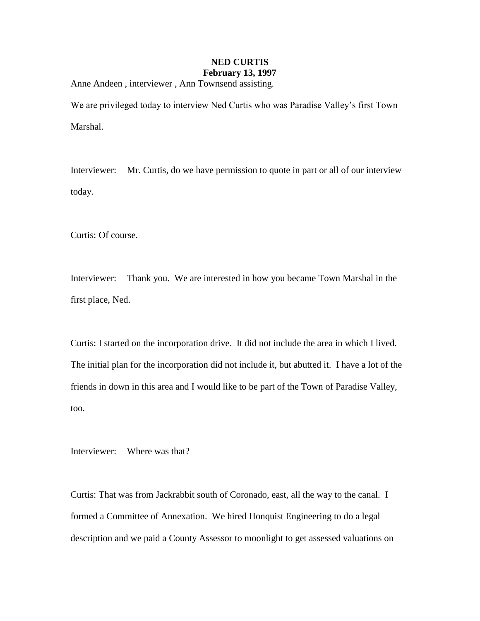## **NED CURTIS February 13, 1997**

Anne Andeen , interviewer , Ann Townsend assisting.

We are privileged today to interview Ned Curtis who was Paradise Valley's first Town Marshal.

Interviewer: Mr. Curtis, do we have permission to quote in part or all of our interview today.

Curtis: Of course.

Interviewer: Thank you. We are interested in how you became Town Marshal in the first place, Ned.

Curtis: I started on the incorporation drive. It did not include the area in which I lived. The initial plan for the incorporation did not include it, but abutted it. I have a lot of the friends in down in this area and I would like to be part of the Town of Paradise Valley, too.

Interviewer: Where was that?

Curtis: That was from Jackrabbit south of Coronado, east, all the way to the canal. I formed a Committee of Annexation. We hired Honquist Engineering to do a legal description and we paid a County Assessor to moonlight to get assessed valuations on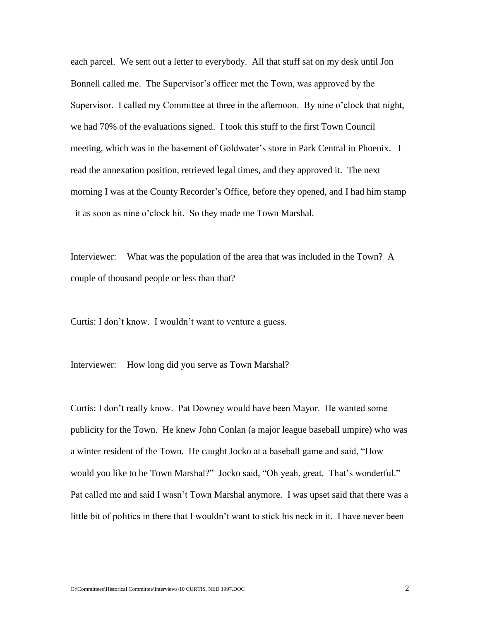each parcel. We sent out a letter to everybody. All that stuff sat on my desk until Jon Bonnell called me. The Supervisor's officer met the Town, was approved by the Supervisor. I called my Committee at three in the afternoon. By nine o'clock that night, we had 70% of the evaluations signed. I took this stuff to the first Town Council meeting, which was in the basement of Goldwater's store in Park Central in Phoenix. I read the annexation position, retrieved legal times, and they approved it. The next morning I was at the County Recorder's Office, before they opened, and I had him stamp it as soon as nine o'clock hit. So they made me Town Marshal.

Interviewer: What was the population of the area that was included in the Town? A couple of thousand people or less than that?

Curtis: I don't know. I wouldn't want to venture a guess.

Interviewer: How long did you serve as Town Marshal?

Curtis: I don't really know. Pat Downey would have been Mayor. He wanted some publicity for the Town. He knew John Conlan (a major league baseball umpire) who was a winter resident of the Town. He caught Jocko at a baseball game and said, "How would you like to be Town Marshal?" Jocko said, "Oh yeah, great. That's wonderful." Pat called me and said I wasn't Town Marshal anymore. I was upset said that there was a little bit of politics in there that I wouldn't want to stick his neck in it. I have never been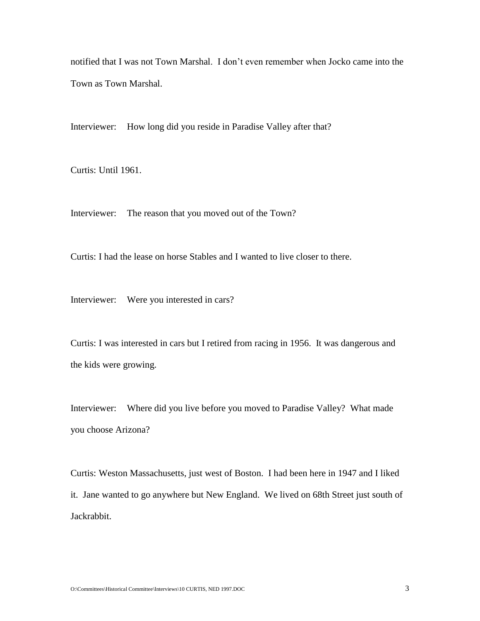notified that I was not Town Marshal. I don't even remember when Jocko came into the Town as Town Marshal.

Interviewer: How long did you reside in Paradise Valley after that?

Curtis: Until 1961.

Interviewer: The reason that you moved out of the Town?

Curtis: I had the lease on horse Stables and I wanted to live closer to there.

Interviewer: Were you interested in cars?

Curtis: I was interested in cars but I retired from racing in 1956. It was dangerous and the kids were growing.

Interviewer: Where did you live before you moved to Paradise Valley? What made you choose Arizona?

Curtis: Weston Massachusetts, just west of Boston. I had been here in 1947 and I liked it. Jane wanted to go anywhere but New England. We lived on 68th Street just south of Jackrabbit.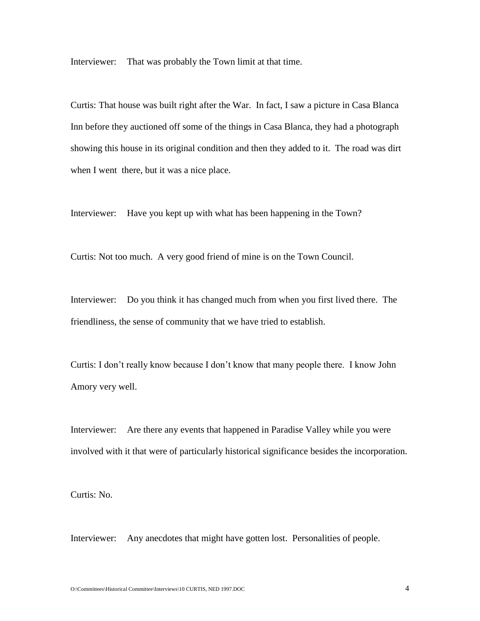Interviewer: That was probably the Town limit at that time.

Curtis: That house was built right after the War. In fact, I saw a picture in Casa Blanca Inn before they auctioned off some of the things in Casa Blanca, they had a photograph showing this house in its original condition and then they added to it. The road was dirt when I went there, but it was a nice place.

Interviewer: Have you kept up with what has been happening in the Town?

Curtis: Not too much. A very good friend of mine is on the Town Council.

Interviewer: Do you think it has changed much from when you first lived there. The friendliness, the sense of community that we have tried to establish.

Curtis: I don't really know because I don't know that many people there. I know John Amory very well.

Interviewer: Are there any events that happened in Paradise Valley while you were involved with it that were of particularly historical significance besides the incorporation.

Curtis: No.

Interviewer: Any anecdotes that might have gotten lost. Personalities of people.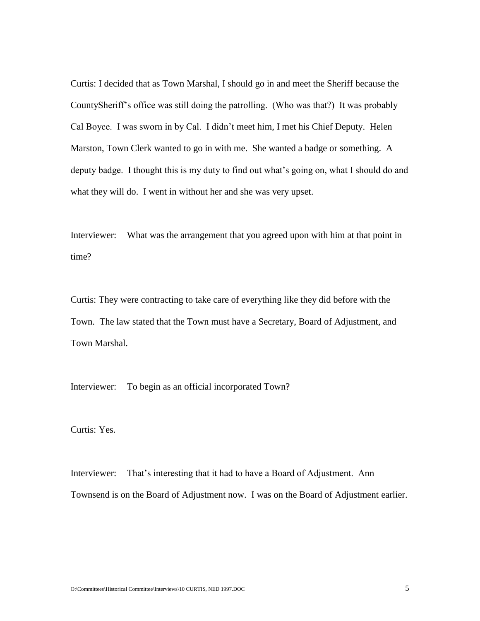Curtis: I decided that as Town Marshal, I should go in and meet the Sheriff because the CountySheriff's office was still doing the patrolling. (Who was that?) It was probably Cal Boyce. I was sworn in by Cal. I didn't meet him, I met his Chief Deputy. Helen Marston, Town Clerk wanted to go in with me. She wanted a badge or something. A deputy badge. I thought this is my duty to find out what's going on, what I should do and what they will do. I went in without her and she was very upset.

Interviewer: What was the arrangement that you agreed upon with him at that point in time?

Curtis: They were contracting to take care of everything like they did before with the Town. The law stated that the Town must have a Secretary, Board of Adjustment, and Town Marshal.

Interviewer: To begin as an official incorporated Town?

Curtis: Yes.

Interviewer: That's interesting that it had to have a Board of Adjustment. Ann Townsend is on the Board of Adjustment now. I was on the Board of Adjustment earlier.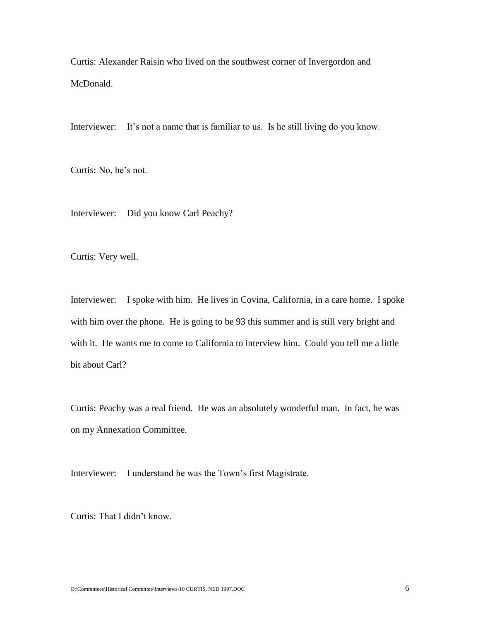Curtis: Alexander Raisin who lived on the southwest corner of Invergordon and McDonald.

Interviewer: It's not a name that is familiar to us. Is he still living do you know.

Curtis: No, he's not.

Interviewer: Did you know Carl Peachy?

Curtis: Very well.

Interviewer: I spoke with him. He lives in Covina, California, in a care home. I spoke with him over the phone. He is going to be 93 this summer and is still very bright and with it. He wants me to come to California to interview him. Could you tell me a little bit about Carl?

Curtis: Peachy was a real friend. He was an absolutely wonderful man. In fact, he was on my Annexation Committee.

Interviewer: I understand he was the Town's first Magistrate.

Curtis: That I didn't know.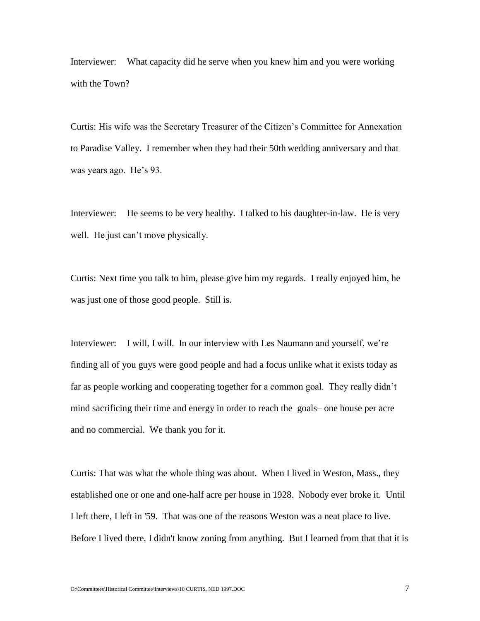Interviewer: What capacity did he serve when you knew him and you were working with the Town?

Curtis: His wife was the Secretary Treasurer of the Citizen's Committee for Annexation to Paradise Valley. I remember when they had their 50th wedding anniversary and that was years ago. He's 93.

Interviewer: He seems to be very healthy. I talked to his daughter-in-law. He is very well. He just can't move physically.

Curtis: Next time you talk to him, please give him my regards. I really enjoyed him, he was just one of those good people. Still is.

Interviewer: I will, I will. In our interview with Les Naumann and yourself, we're finding all of you guys were good people and had a focus unlike what it exists today as far as people working and cooperating together for a common goal. They really didn't mind sacrificing their time and energy in order to reach the goals– one house per acre and no commercial. We thank you for it.

Curtis: That was what the whole thing was about. When I lived in Weston, Mass., they established one or one and one-half acre per house in 1928. Nobody ever broke it. Until I left there, I left in '59. That was one of the reasons Weston was a neat place to live. Before I lived there, I didn't know zoning from anything. But I learned from that that it is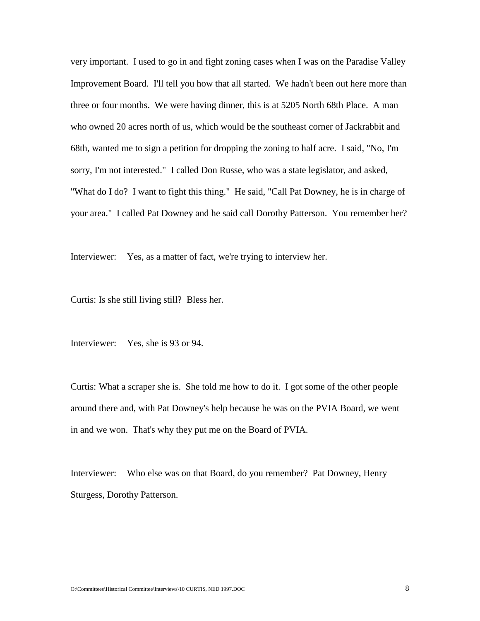very important. I used to go in and fight zoning cases when I was on the Paradise Valley Improvement Board. I'll tell you how that all started. We hadn't been out here more than three or four months. We were having dinner, this is at 5205 North 68th Place. A man who owned 20 acres north of us, which would be the southeast corner of Jackrabbit and 68th, wanted me to sign a petition for dropping the zoning to half acre. I said, "No, I'm sorry, I'm not interested." I called Don Russe, who was a state legislator, and asked, "What do I do? I want to fight this thing." He said, "Call Pat Downey, he is in charge of your area." I called Pat Downey and he said call Dorothy Patterson. You remember her?

Interviewer: Yes, as a matter of fact, we're trying to interview her.

Curtis: Is she still living still? Bless her.

Interviewer: Yes, she is 93 or 94.

Curtis: What a scraper she is. She told me how to do it. I got some of the other people around there and, with Pat Downey's help because he was on the PVIA Board, we went in and we won. That's why they put me on the Board of PVIA.

Interviewer: Who else was on that Board, do you remember? Pat Downey, Henry Sturgess, Dorothy Patterson.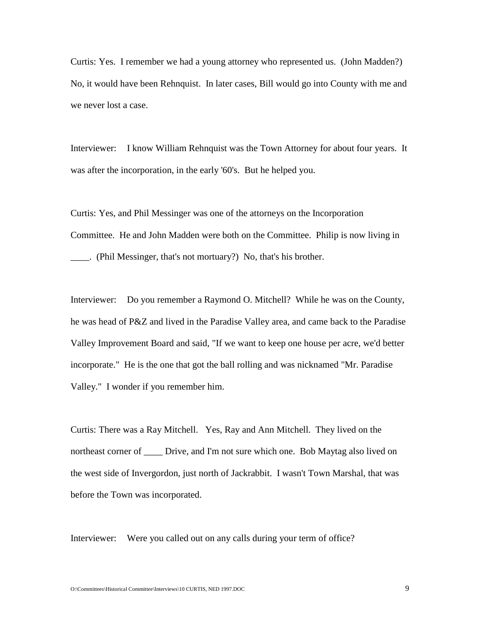Curtis: Yes. I remember we had a young attorney who represented us. (John Madden?) No, it would have been Rehnquist. In later cases, Bill would go into County with me and we never lost a case.

Interviewer: I know William Rehnquist was the Town Attorney for about four years. It was after the incorporation, in the early '60's. But he helped you.

Curtis: Yes, and Phil Messinger was one of the attorneys on the Incorporation Committee. He and John Madden were both on the Committee. Philip is now living in \_\_\_\_. (Phil Messinger, that's not mortuary?) No, that's his brother.

Interviewer: Do you remember a Raymond O. Mitchell? While he was on the County, he was head of P&Z and lived in the Paradise Valley area, and came back to the Paradise Valley Improvement Board and said, "If we want to keep one house per acre, we'd better incorporate." He is the one that got the ball rolling and was nicknamed "Mr. Paradise Valley." I wonder if you remember him.

Curtis: There was a Ray Mitchell. Yes, Ray and Ann Mitchell. They lived on the northeast corner of \_\_\_\_\_ Drive, and I'm not sure which one. Bob Maytag also lived on the west side of Invergordon, just north of Jackrabbit. I wasn't Town Marshal, that was before the Town was incorporated.

Interviewer: Were you called out on any calls during your term of office?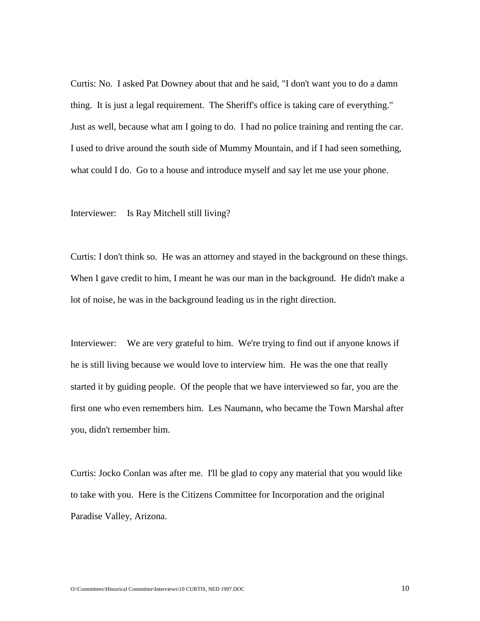Curtis: No. I asked Pat Downey about that and he said, "I don't want you to do a damn thing. It is just a legal requirement. The Sheriff's office is taking care of everything." Just as well, because what am I going to do. I had no police training and renting the car. I used to drive around the south side of Mummy Mountain, and if I had seen something, what could I do. Go to a house and introduce myself and say let me use your phone.

Interviewer: Is Ray Mitchell still living?

Curtis: I don't think so. He was an attorney and stayed in the background on these things. When I gave credit to him, I meant he was our man in the background. He didn't make a lot of noise, he was in the background leading us in the right direction.

Interviewer: We are very grateful to him. We're trying to find out if anyone knows if he is still living because we would love to interview him. He was the one that really started it by guiding people. Of the people that we have interviewed so far, you are the first one who even remembers him. Les Naumann, who became the Town Marshal after you, didn't remember him.

Curtis: Jocko Conlan was after me. I'll be glad to copy any material that you would like to take with you. Here is the Citizens Committee for Incorporation and the original Paradise Valley, Arizona.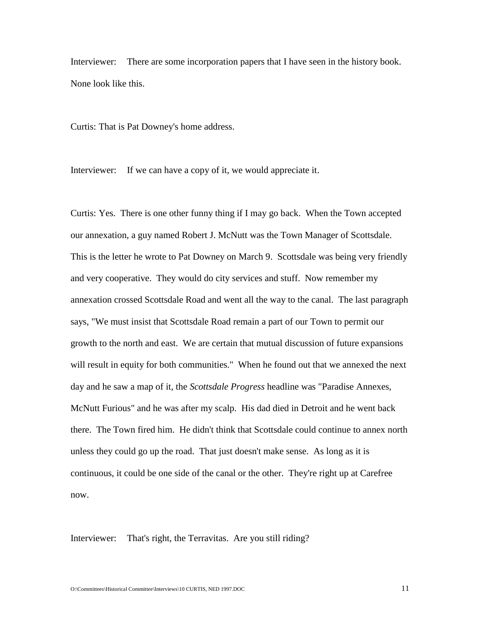Interviewer: There are some incorporation papers that I have seen in the history book. None look like this.

Curtis: That is Pat Downey's home address.

Interviewer: If we can have a copy of it, we would appreciate it.

Curtis: Yes. There is one other funny thing if I may go back. When the Town accepted our annexation, a guy named Robert J. McNutt was the Town Manager of Scottsdale. This is the letter he wrote to Pat Downey on March 9. Scottsdale was being very friendly and very cooperative. They would do city services and stuff. Now remember my annexation crossed Scottsdale Road and went all the way to the canal. The last paragraph says, "We must insist that Scottsdale Road remain a part of our Town to permit our growth to the north and east. We are certain that mutual discussion of future expansions will result in equity for both communities." When he found out that we annexed the next day and he saw a map of it, the *Scottsdale Progress* headline was "Paradise Annexes, McNutt Furious" and he was after my scalp. His dad died in Detroit and he went back there. The Town fired him. He didn't think that Scottsdale could continue to annex north unless they could go up the road. That just doesn't make sense. As long as it is continuous, it could be one side of the canal or the other. They're right up at Carefree now.

Interviewer: That's right, the Terravitas. Are you still riding?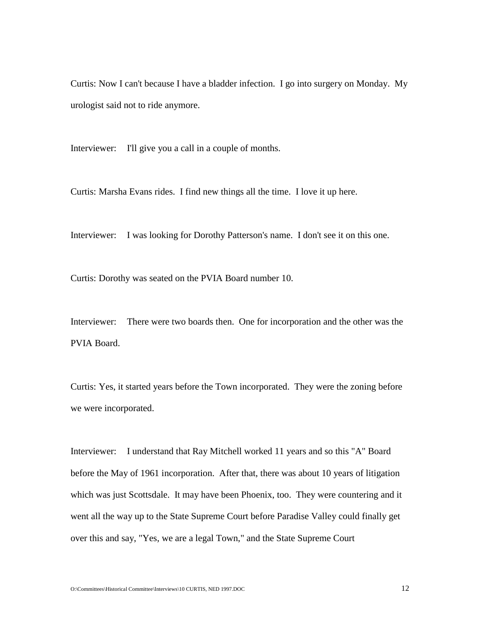Curtis: Now I can't because I have a bladder infection. I go into surgery on Monday. My urologist said not to ride anymore.

Interviewer: I'll give you a call in a couple of months.

Curtis: Marsha Evans rides. I find new things all the time. I love it up here.

Interviewer: I was looking for Dorothy Patterson's name. I don't see it on this one.

Curtis: Dorothy was seated on the PVIA Board number 10.

Interviewer: There were two boards then. One for incorporation and the other was the PVIA Board.

Curtis: Yes, it started years before the Town incorporated. They were the zoning before we were incorporated.

Interviewer: I understand that Ray Mitchell worked 11 years and so this "A" Board before the May of 1961 incorporation. After that, there was about 10 years of litigation which was just Scottsdale. It may have been Phoenix, too. They were countering and it went all the way up to the State Supreme Court before Paradise Valley could finally get over this and say, "Yes, we are a legal Town," and the State Supreme Court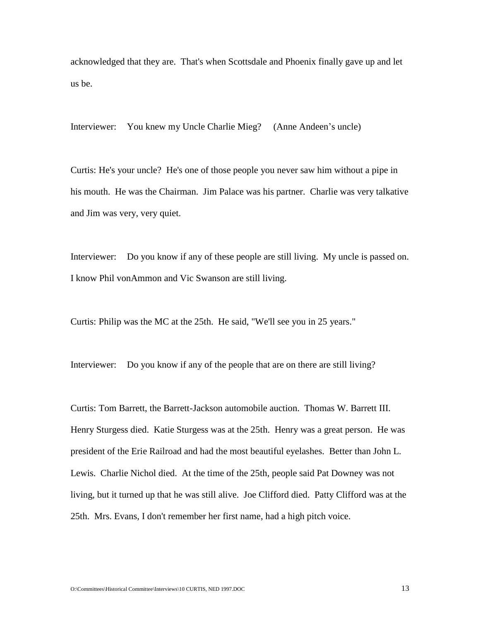acknowledged that they are. That's when Scottsdale and Phoenix finally gave up and let us be.

Interviewer: You knew my Uncle Charlie Mieg? (Anne Andeen's uncle)

Curtis: He's your uncle? He's one of those people you never saw him without a pipe in his mouth. He was the Chairman. Jim Palace was his partner. Charlie was very talkative and Jim was very, very quiet.

Interviewer: Do you know if any of these people are still living. My uncle is passed on. I know Phil vonAmmon and Vic Swanson are still living.

Curtis: Philip was the MC at the 25th. He said, "We'll see you in 25 years."

Interviewer: Do you know if any of the people that are on there are still living?

Curtis: Tom Barrett, the Barrett-Jackson automobile auction. Thomas W. Barrett III. Henry Sturgess died. Katie Sturgess was at the 25th. Henry was a great person. He was president of the Erie Railroad and had the most beautiful eyelashes. Better than John L. Lewis. Charlie Nichol died. At the time of the 25th, people said Pat Downey was not living, but it turned up that he was still alive. Joe Clifford died. Patty Clifford was at the 25th. Mrs. Evans, I don't remember her first name, had a high pitch voice.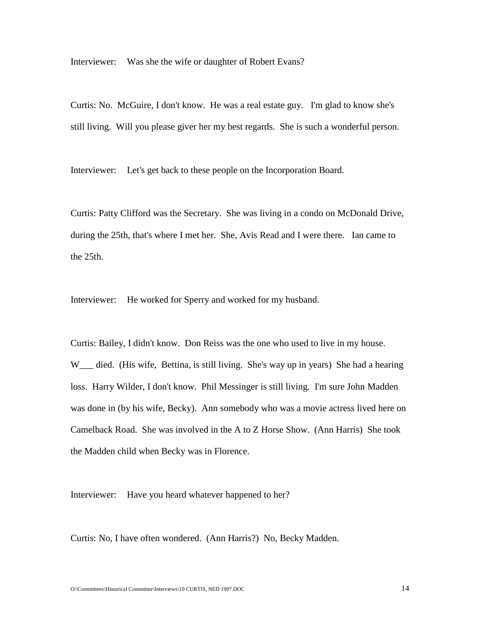Interviewer: Was she the wife or daughter of Robert Evans?

Curtis: No. McGuire, I don't know. He was a real estate guy. I'm glad to know she's still living. Will you please giver her my best regards. She is such a wonderful person.

Interviewer: Let's get back to these people on the Incorporation Board.

Curtis: Patty Clifford was the Secretary. She was living in a condo on McDonald Drive, during the 25th, that's where I met her. She, Avis Read and I were there. Ian came to the 25th.

Interviewer: He worked for Sperry and worked for my husband.

Curtis: Bailey, I didn't know. Don Reiss was the one who used to live in my house. W\_\_\_ died. (His wife, Bettina, is still living. She's way up in years) She had a hearing loss. Harry Wilder, I don't know. Phil Messinger is still living. I'm sure John Madden was done in (by his wife, Becky). Ann somebody who was a movie actress lived here on Camelback Road. She was involved in the A to Z Horse Show. (Ann Harris) She took the Madden child when Becky was in Florence.

Interviewer: Have you heard whatever happened to her?

Curtis: No, I have often wondered. (Ann Harris?) No, Becky Madden.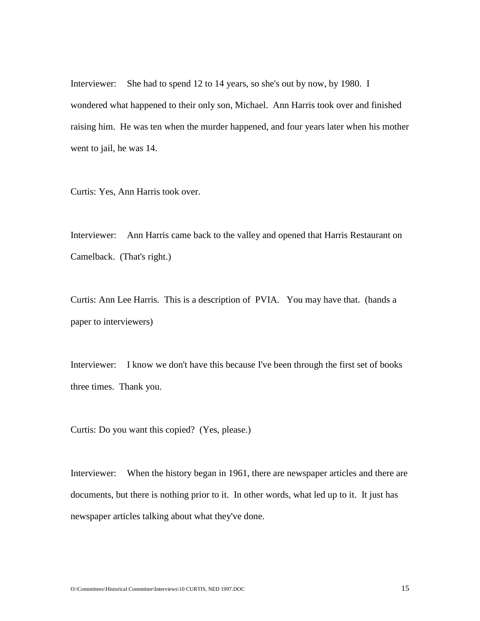Interviewer: She had to spend 12 to 14 years, so she's out by now, by 1980. I wondered what happened to their only son, Michael. Ann Harris took over and finished raising him. He was ten when the murder happened, and four years later when his mother went to jail, he was 14.

Curtis: Yes, Ann Harris took over.

Interviewer: Ann Harris came back to the valley and opened that Harris Restaurant on Camelback. (That's right.)

Curtis: Ann Lee Harris. This is a description of PVIA. You may have that. (hands a paper to interviewers)

Interviewer: I know we don't have this because I've been through the first set of books three times. Thank you.

Curtis: Do you want this copied? (Yes, please.)

Interviewer: When the history began in 1961, there are newspaper articles and there are documents, but there is nothing prior to it. In other words, what led up to it. It just has newspaper articles talking about what they've done.